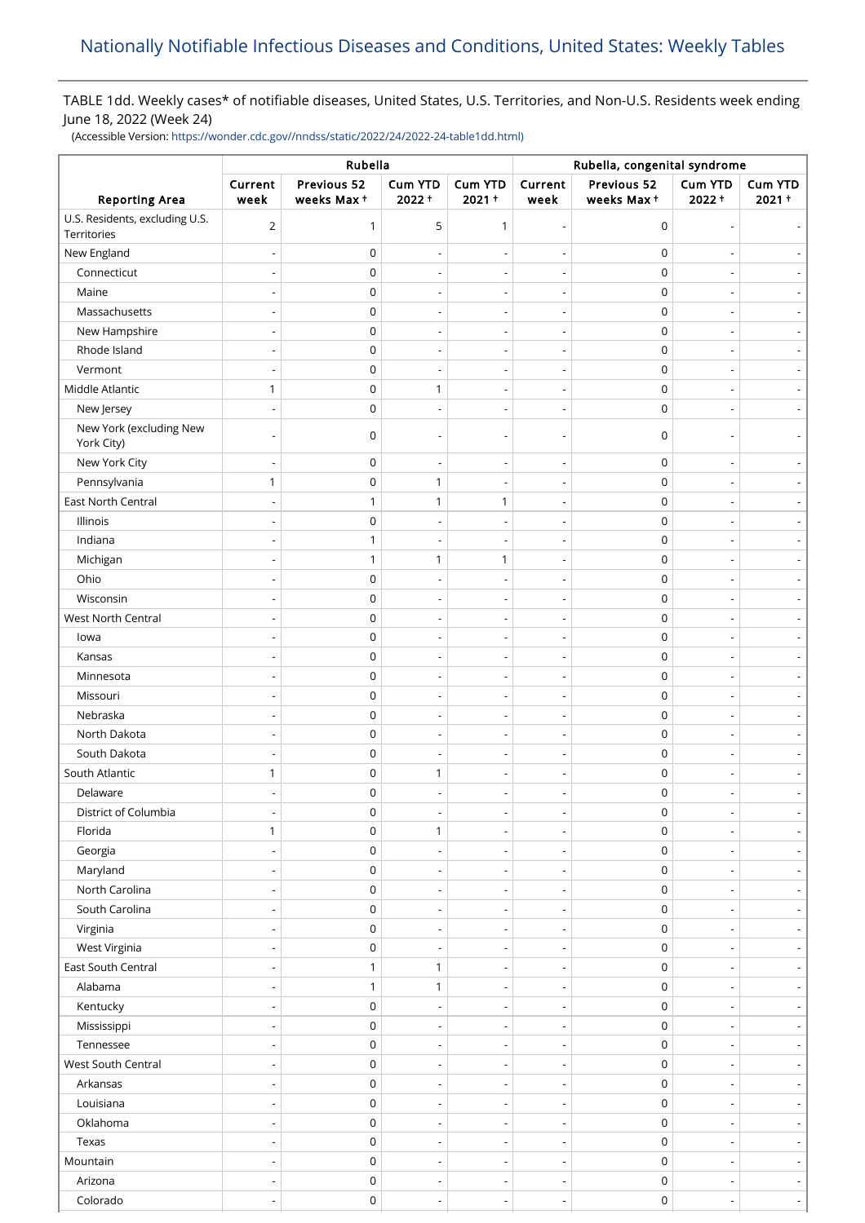## TABLE 1dd. Weekly cases\* of notifiable diseases, United States, U.S. Territories, and Non-U.S. Residents week ending June 18, 2022 (Week 24)

(Accessible Version: [https://wonder.cdc.gov//nndss/static/2022/24/2022-24-table1dd.html\)](https://wonder.cdc.gov//nndss/static/2022/24/2022-24-table1dd.html)

|                                               | Rubella                  |                           |                            |                              | Rubella, congenital syndrome |                           |                     |                          |
|-----------------------------------------------|--------------------------|---------------------------|----------------------------|------------------------------|------------------------------|---------------------------|---------------------|--------------------------|
| <b>Reporting Area</b>                         | Current<br>week          | Previous 52<br>weeks Max+ | <b>Cum YTD</b><br>$2022 +$ | <b>Cum YTD</b><br>$2021 +$   | Current<br>week              | Previous 52<br>weeks Max+ | Cum YTD<br>$2022 +$ | Cum YTD<br>$2021 +$      |
| U.S. Residents, excluding U.S.<br>Territories | $\overline{2}$           | $\mathbf{1}$              | 5                          | 1                            | $\overline{\phantom{0}}$     | $\mathbf 0$               |                     |                          |
| New England                                   |                          | 0                         |                            |                              |                              | $\pmb{0}$                 |                     |                          |
| Connecticut                                   |                          | 0                         |                            |                              |                              | $\mathbf 0$               |                     |                          |
| Maine                                         |                          | $\mathsf 0$               |                            | $\overline{a}$               | $\overline{a}$               | $\mathbf 0$               |                     |                          |
| Massachusetts                                 |                          | 0                         | $\overline{\phantom{a}}$   | $\qquad \qquad \blacksquare$ | $\qquad \qquad \blacksquare$ | $\mathbf 0$               |                     |                          |
| New Hampshire                                 |                          | 0                         |                            | $\overline{a}$               |                              | $\mathbf 0$               |                     |                          |
| Rhode Island                                  |                          | $\mathsf 0$               |                            |                              |                              | $\mathbf 0$               |                     |                          |
| Vermont                                       |                          | $\mathsf 0$               | ÷,                         | $\overline{\phantom{0}}$     | $\overline{\phantom{0}}$     | $\mathbf 0$               |                     |                          |
| Middle Atlantic                               | $\mathbf{1}$             | $\mathsf 0$               | $\mathbf{1}$               | -                            | $\overline{\phantom{a}}$     | $\mathbf 0$               |                     |                          |
| New Jersey                                    |                          | $\mathsf 0$               | $\overline{\phantom{a}}$   | $\overline{a}$               | $\overline{\phantom{a}}$     | $\mathbf 0$               |                     |                          |
| New York (excluding New<br>York City)         |                          | 0                         |                            |                              |                              | $\mathbf 0$               |                     |                          |
| New York City                                 |                          | $\boldsymbol{0}$          |                            |                              |                              | $\pmb{0}$                 |                     |                          |
| Pennsylvania                                  | $\mathbf{1}$             | $\mathsf 0$               | $\mathbf{1}$               |                              | $\overline{a}$               | $\mathbf 0$               |                     |                          |
| East North Central                            |                          | $\mathbf{1}$              | 1                          | 1                            | Ĭ.                           | $\mathbf 0$               |                     |                          |
| Illinois                                      |                          | $\mathsf 0$               | $\overline{\phantom{a}}$   | $\overline{\phantom{a}}$     | $\qquad \qquad \blacksquare$ | $\mathbf 0$               |                     |                          |
| Indiana                                       |                          | 1                         | $\overline{a}$             | $\overline{\phantom{a}}$     | $\overline{\phantom{0}}$     | $\mathbf 0$               |                     |                          |
| Michigan                                      |                          | $\mathbf{1}$              | $\mathbf{1}$               | 1                            | $\qquad \qquad \blacksquare$ | $\mathbf 0$               |                     |                          |
| Ohio                                          |                          | $\mathsf 0$               |                            | $\overline{a}$               | $\overline{\phantom{0}}$     | $\mathbf 0$               |                     |                          |
| Wisconsin                                     |                          | $\mathsf 0$               | $\overline{\phantom{a}}$   | -                            | $\overline{a}$               | $\mathbf 0$               |                     |                          |
| West North Central                            |                          | $\mathsf 0$               | $\overline{\phantom{a}}$   | $\overline{a}$               | $\overline{\phantom{a}}$     | $\mathbf 0$               |                     |                          |
| lowa                                          |                          | $\mathsf 0$               |                            |                              |                              | $\pmb{0}$                 |                     |                          |
| Kansas                                        |                          | $\mathsf 0$               |                            | $\overline{a}$               | $\qquad \qquad \blacksquare$ | $\mathbf 0$               |                     |                          |
| Minnesota                                     |                          | $\mathsf 0$               |                            |                              |                              | $\mathbf 0$               |                     |                          |
| Missouri                                      |                          | 0                         | $\overline{a}$             | $\overline{a}$               | $\overline{a}$               | $\mathbf 0$               |                     |                          |
| Nebraska                                      |                          | 0                         |                            |                              |                              | $\pmb{0}$                 |                     |                          |
| North Dakota                                  |                          | 0                         | $\overline{\phantom{a}}$   | $\overline{\phantom{a}}$     |                              | $\mathbf 0$               |                     |                          |
| South Dakota                                  |                          | $\mathsf 0$               |                            |                              | $\overline{a}$               | $\mathbf 0$               |                     |                          |
| South Atlantic                                | 1                        | 0                         | 1                          | $\overline{a}$               | $\qquad \qquad \blacksquare$ | $\mathbf 0$               |                     |                          |
| Delaware                                      |                          | $\mathsf 0$               |                            |                              | $\overline{\phantom{a}}$     | $\mathbf 0$               |                     |                          |
| District of Columbia                          |                          | $\mathsf 0$               |                            |                              | $\qquad \qquad \blacksquare$ | $\pmb{0}$                 |                     |                          |
| Florida                                       | $\mathbf{1}$             | $\mathsf 0$               | $\mathbf{1}$               | $\overline{\phantom{a}}$     | $\overline{\phantom{a}}$     | $\mathbf 0$               |                     | $\overline{\phantom{a}}$ |
| Georgia                                       |                          | 0                         |                            | $\qquad \qquad \blacksquare$ | $\qquad \qquad \blacksquare$ | $\mathbf 0$               |                     |                          |
| Maryland                                      |                          | $\mathsf 0$               | $\overline{\phantom{a}}$   | $\overline{\phantom{a}}$     | $\overline{\phantom{a}}$     | $\mathbf 0$               |                     | $\overline{\phantom{a}}$ |
| North Carolina                                |                          | $\mathsf 0$               |                            |                              |                              | $\mathbf 0$               |                     |                          |
| South Carolina                                |                          | $\mathsf 0$               | $\overline{a}$             | $\overline{\phantom{a}}$     | $\overline{\phantom{0}}$     | $\mathbf 0$               |                     | $\overline{\phantom{a}}$ |
| Virginia                                      |                          | 0                         | ۰                          |                              | $\overline{a}$               | $\pmb{0}$                 |                     |                          |
| West Virginia                                 | $\overline{\phantom{a}}$ | $\mathsf 0$               | $\overline{\phantom{a}}$   | $\overline{\phantom{a}}$     | $\overline{\phantom{a}}$     | $\pmb{0}$                 |                     |                          |
| East South Central                            |                          | $\mathbf{1}$              | $\mathbf{1}$               | $\overline{\phantom{a}}$     | $\overline{\phantom{0}}$     | $\mathbf 0$               |                     | $\overline{\phantom{0}}$ |
| Alabama                                       |                          | $\mathbf{1}$              | $\mathbf{1}$               | $\overline{\phantom{a}}$     | $\overline{\phantom{a}}$     | $\mathbf 0$               |                     | $\overline{\phantom{a}}$ |
| Kentucky                                      |                          | $\mathbf 0$               |                            | $\overline{\phantom{a}}$     | $\overline{\phantom{a}}$     | $\mathbf 0$               |                     |                          |
| Mississippi                                   |                          | $\mathsf 0$               | $\overline{\phantom{a}}$   | $\overline{\phantom{0}}$     | $\overline{\phantom{a}}$     | $\mathbf 0$               |                     |                          |
| Tennessee                                     |                          | $\mathsf 0$               | $\overline{\phantom{a}}$   | $\overline{\phantom{0}}$     | $\overline{\phantom{a}}$     | $\mathbf 0$               |                     | $\overline{\phantom{a}}$ |
| West South Central                            |                          | $\mathsf 0$               |                            |                              | $\overline{\phantom{a}}$     | $\mathbf 0$               |                     |                          |
| Arkansas                                      |                          | $\mathsf 0$               | $\overline{\phantom{a}}$   | $\overline{\phantom{a}}$     | $\overline{\phantom{a}}$     | $\mathbf 0$               |                     |                          |
| Louisiana                                     |                          | $\mathsf 0$               |                            |                              | $\qquad \qquad \blacksquare$ | $\pmb{0}$                 |                     |                          |
| Oklahoma                                      |                          | $\mathsf 0$               | $\overline{a}$             | $\overline{a}$               | $\overline{\phantom{0}}$     | $\mathbf 0$               |                     |                          |
| Texas                                         |                          | $\mathbf 0$               | $\overline{a}$             | $\overline{a}$               | $\overline{a}$               | $\mathbf 0$               |                     |                          |
| Mountain                                      |                          | $\mathsf 0$               | $\overline{a}$             | $\overline{\phantom{a}}$     | $\overline{\phantom{0}}$     | $\mathbf 0$               |                     | $\overline{\phantom{a}}$ |
| Arizona                                       |                          | $\mathsf 0$               | $\overline{\phantom{a}}$   | $\overline{a}$               | $\overline{\phantom{0}}$     | $\mathbf 0$               |                     | $\overline{\phantom{0}}$ |
| Colorado                                      | $\overline{\phantom{a}}$ | $\mathsf 0$               | $\overline{\phantom{0}}$   | $\qquad \qquad \blacksquare$ | $\qquad \qquad \blacksquare$ | $\mathbf 0$               |                     | ÷                        |